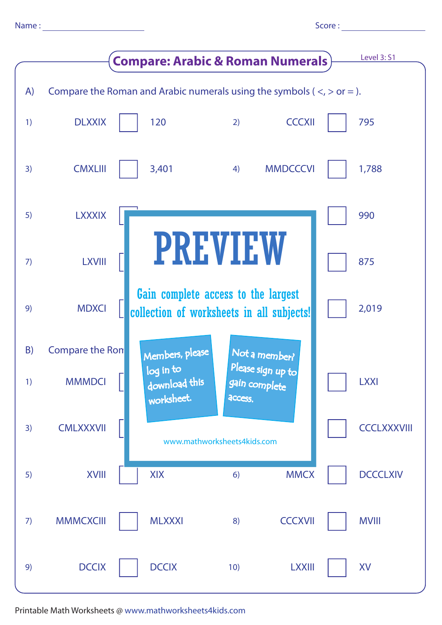